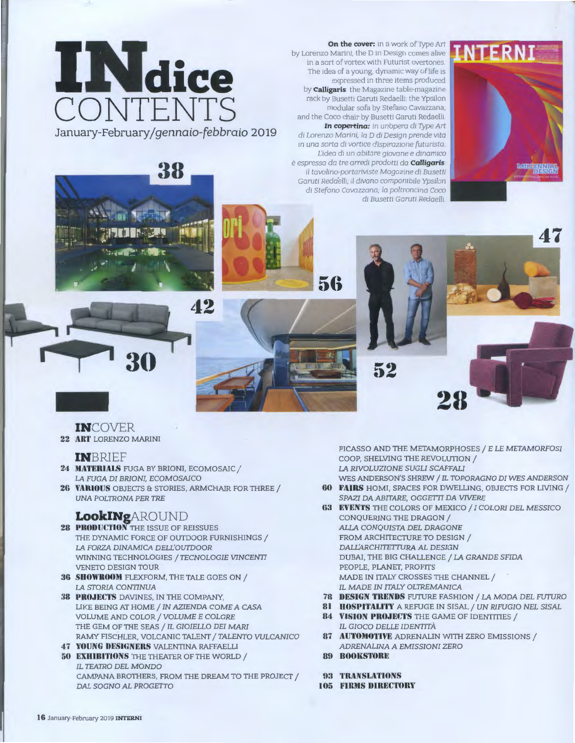

On the cover: in a work of Type Art by Lorenzo Marini, the D in Design comes alive in a sort of vortex with Futurist overtones. The idea of a young, dynamic way of life is expressed in three items produced by **Calligaris**: the Magazine table-magazine rack by Busetti Garuti Redaelli; the Ypsilon modular sofa by Stefano Cavazzana; and the Coco chair by Busetti Garuti Redaelli. In copertina: in un'opera di Type Art di Lorenzo Marini, la D di Design prende vita in una sorta di vortice d'ispirazione futurista. L'idea di un abitare giovane e dinamico è espressa da tre arredi prodotti da **Calligaris**: il tavolino-portariviste Magazine di Busetti Garuti Redaelli, il divano componibile Ypsilon di Stefano Cavazzana; la poltroncina Coco



56



**INCOVER** 

22 ART LORENZO MARINI

#### **INBRIEF**

- 24 MATERIALS FUGA BY BRIONI, ECOMOSAIC / LA FUGA DI BRIONI, ECOMOSAICO
- 26 VARIOUS OBJECTS & STORIES, ARMCHAIR FOR THREE / **UNA POLTRONA PER TRE**

## **LookINgAROUND**

- 28 PRODUCTION THE ISSUE OF REISSUES THE DYNAMIC FORCE OF OUTDOOR FURNISHINGS / LA FORZA DINAMICA DELL'OUTDOOR WINNING TECHNOLOGIES / TECNOLOGIE VINCENTI **VENETO DESIGN TOUR**
- 36 SHOWROOM FLEXFORM, THE TALE GOES ON / LA STORIA CONTINUA
- **38 PROJECTS DAVINES, IN THE COMPANY,** LIKE BEING AT HOME / IN AZIENDA COME A CASA VOLUME AND COLOR / VOLUME E COLORE THE GEM OF THE SEAS / IL GIOIELLO DEI MARI RAMY FISCHLER, VOLCANIC TALENT / TALENTO VULCANICO
- 47 YOUNG DESIGNERS VALENTINA RAFFAELLI 50 EXHIBITIONS THE THEATER OF THE WORLD / IL TEATRO DEL MONDO CAMPANA BROTHERS, FROM THE DREAM TO THE PROJECT / DAL SOGNO AL PROGETTO

PICASSO AND THE METAMORPHOSES / E LE METAMORFOSI COOP, SHELVING THE REVOLUTION / LA RIVOLUZIONE SUGLI SCAFFALI WES ANDERSON'S SHREW / IL TOPORAGNO DI WES ANDERSON

- **60 FAIRS HOMI. SPACES FOR DWELLING. OBJECTS FOR LIVING /** SPAZI DA ABITARE, OGGETTI DA VIVERE
- **63 EVENTS** THE COLORS OF MEXICO / I COLORI DEL MESSICO CONQUERING THE DRAGON / ALLA CONQUISTA DEL DRAGONE FROM ARCHITECTURE TO DESIGN / DALL'ARCHITETTURA AL DESIGN DUBAI, THE BIG CHALLENGE / LA GRANDE SFIDA PEOPLE, PLANET, PROFITS MADE IN ITALY CROSSES THE CHANNEL / IL MADE IN ITALY OLTREMANICA
- 78 DESIGN TRENDS FUTURE FASHION / LA MODA DEL FUTURO
- 81 HOSPITALITY A REFUGE IN SISAL / UN RIFUGIO NEL SISAL 84 VISION PROJECTS THE GAME OF IDENTITIES / IL GIOCO DELLE IDENTITÀ
- 87 **AUTOMOTIVE** ADRENALIN WITH ZERO EMISSIONS / ADRENALINA A EMISSIONI ZERO
- **89 BOOKSTORE**
- 93 TRANSLATIONS
- **105 FIRMS DIRECTORY**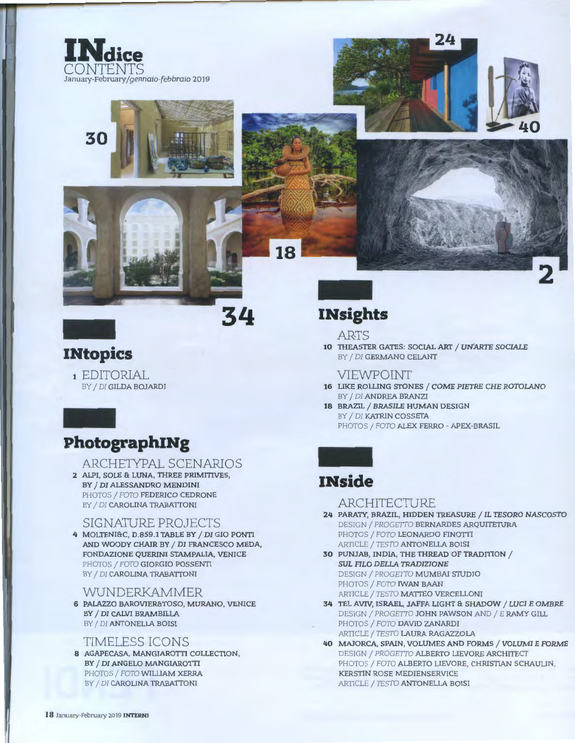





## **INtopics**

1 EDITORIAL BY / DI GILDA BOJARDI

## PhotographINg

#### ARCHETYPAL SCENARIOS

2 ALPI, SOLE & LUNA, THREE PRIMITIVES, BY / DI ALESSANDRO MENDINI PHOTOS / FOTO FEDERICO CEDRONE BY / DI CAROLINA TRABATTONI

#### **SIGNATURE PROJECTS**

4 MOLTENI&C, D.859.1 TABLE BY / DI GIO PONTI AND WOODY CHAIR BY / DI FRANCESCO MEDA, FONDAZIONE QUERINI STAMPALIA, VENICE PHOTOS / FOTO GIORGIO POSSENTI BY / DI CAROLINA TRABATTONI

#### WUNDERKAMMER

6 PALAZZO BAROVIERATOSO, MURANO, VENICE BY / DI CALVI BRAMBILLA BY / DI ANTONELLA BOISI

#### **TIMELESS ICONS**

8 AGAPECASA, MANGIAROTTI COLLECTION, BY / DI ANGELO MANGIAROTTI PHOTOS / FOTO WILLIAM XERRA BY / DI CAROLINA TRABATTONI

# **INsights**

#### **ARTS**

10 THEASTER GATES: SOCIAL ART / UN'ARTE SOCIALE BY / DI GERMANO CELANT

#### **VIEWPOINT**

- 16 LIKE ROLLING STONES / COME PIETRE CHE ROTOLANO BY / DI ANDREA BRANZI
- 18 BRAZIL / BRASILE HUMAN DESIGN BY / DI KATRIN COSSETA PHOTOS / FOTO ALEX FERRO - APEX-BRASIL

# **INside**

#### ARCHITECTURE

- 24 PARATY, BRAZIL, HIDDEN TREASURE / IL TESORO NASCOSTO DESIGN / PROGETTO BERNARDES ARQUITETURA PHOTOS / FOTO LEONARDO FINOTTI ARTICLE / TESTO ANTONELLA BOISI
- 30 PUNJAB, INDIA, THE THREAD OF TRADITION / **SUL FILO DELLA TRADIZIONE** DESIGN / PROGETTO MUMBAI STUDIO PHOTOS / FOTO IWAN BAAN ARTICLE / TESTO MATTEO VERCELLONI
- 34 TEL AVIV, ISRAEL, JAFFA LIGHT & SHADOW / LUCI E OMBRE DESIGN / PROGETTO JOHN PAWSON AND / E RAMY GILL PHOTOS / FOTO DAVID ZANARDI ARTICLE / TESTO LAURA RAGAZZOLA
- 40 MAJORCA, SPAIN, VOLUMES AND FORMS / VOLUMI E FORME DESIGN / PROGETTO ALBERTO LIEVORE ARCHITECT PHOTOS / FOTO ALBERTO LIEVORE, CHRISTIAN SCHAULIN, KERSTIN ROSE MEDIENSERVICE ARTICLE / TESTO ANTONELLA BOISI